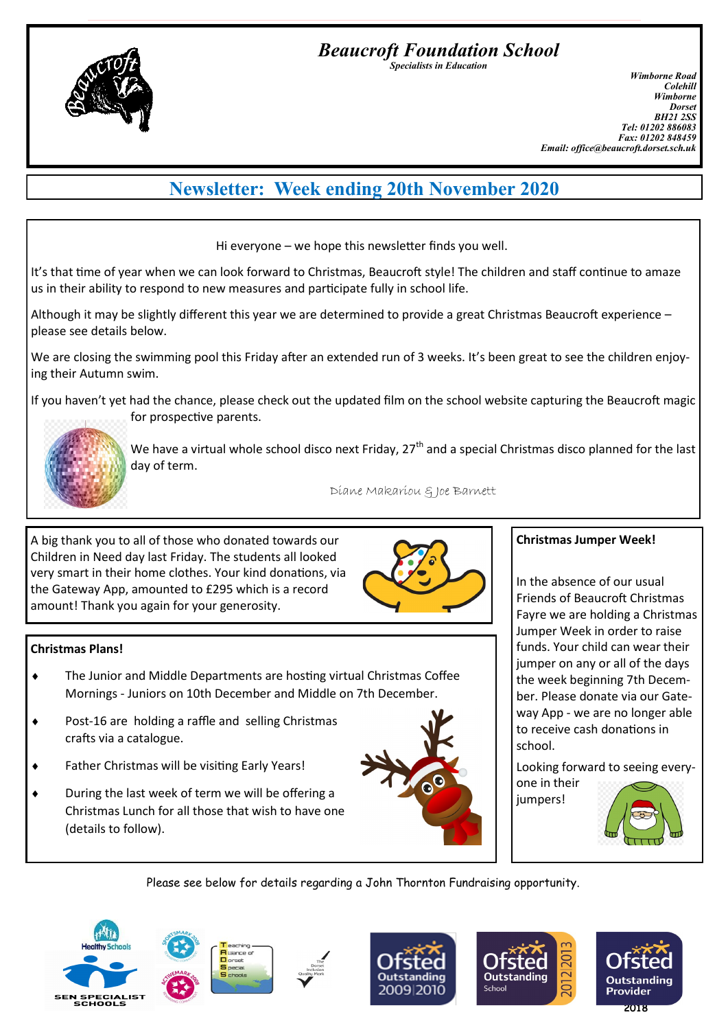*Beaucroft Foundation School Specialists in Education*

*Wimborne Road Colehill Wimborne Dorset BH21 2SS Tel: 01202 886083 Fax: 01202 848459 Email: office@beaucroft.dorset.sch.uk*

# **Newsletter: Week ending 20th November 2020**

Hi everyone – we hope this newsletter finds you well.

It's that time of year when we can look forward to Christmas, Beaucroft style! The children and staff continue to amaze us in their ability to respond to new measures and participate fully in school life.

Although it may be slightly different this year we are determined to provide a great Christmas Beaucroft experience – please see details below.

We are closing the swimming pool this Friday after an extended run of 3 weeks. It's been great to see the children enjoying their Autumn swim.

If you haven't yet had the chance, please check out the updated film on the school website capturing the Beaucroft magic for prospective parents.



**Christmas Plans!**

We have a virtual whole school disco next Friday,  $27<sup>th</sup>$  and a special Christmas disco planned for the last day of term.

Diane Makariou & Joe Barnett

A big thank you to all of those who donated towards our Children in Need day last Friday. The students all looked very smart in their home clothes. Your kind donations, via the Gateway App, amounted to £295 which is a record amount! Thank you again for your generosity.

◆ Post-16 are holding a raffle and selling Christmas

Father Christmas will be visiting Early Years!

 During the last week of term we will be offering a Christmas Lunch for all those that wish to have one

crafts via a catalogue.

(details to follow).



#### **Christmas Jumper Week!**

In the absence of our usual Friends of Beaucroft Christmas Fayre we are holding a Christmas Jumper Week in order to raise funds. Your child can wear their jumper on any or all of the days the week beginning 7th December. Please donate via our Gateway App - we are no longer able to receive cash donations in school.

Looking forward to seeing every-

one in their jumpers!



Please see below for details regarding a John Thornton Fundraising opportunity.







 The Junior and Middle Departments are hosting virtual Christmas Coffee Mornings - Juniors on 10th December and Middle on 7th December.